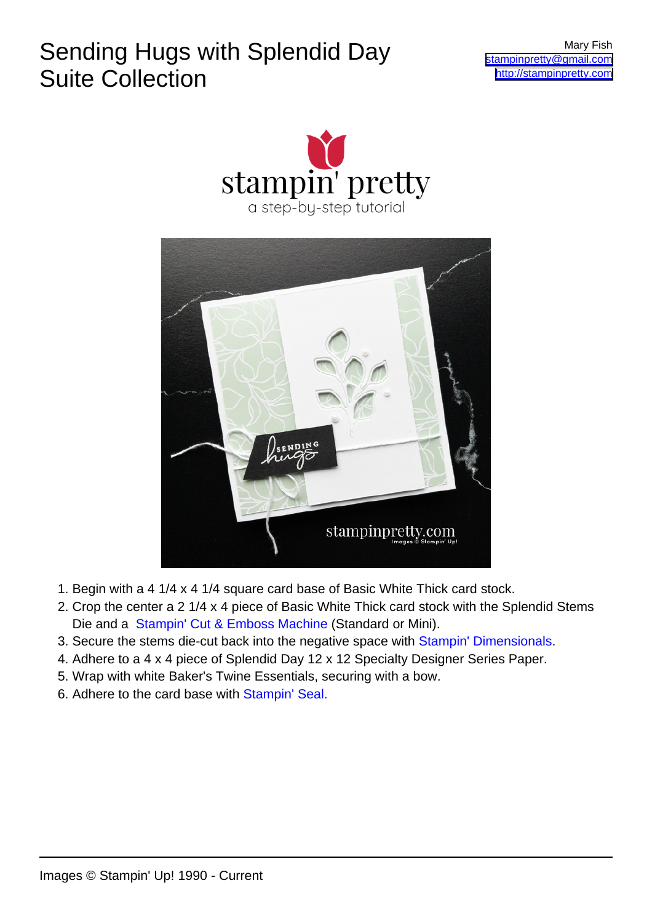## Sending Hugs with Splendid Day Suite Collection





- 1. Begin with a 4 1/4 x 4 1/4 square card base of Basic White Thick card stock.
- 2. Crop the center a 2 1/4 x 4 piece of Basic White Thick card stock with the Splendid Stems Die and a [Stampin' Cut & Emboss Machine](https://stampinpretty.com/new-cut-emboss-machines) (Standard or Mini).
- 3. Secure the stems die-cut back into the negative space with [Stampin' Dimensionals.](https://stampinpretty.com/stuck-on-adhesives)
- 4. Adhere to a 4 x 4 piece of Splendid Day 12 x 12 Specialty Designer Series Paper.
- 5. Wrap with white Baker's Twine Essentials, securing with a bow.
- 6. Adhere to the card base with [Stampin' Seal.](https://stampinpretty.com/stuck-on-adhesives)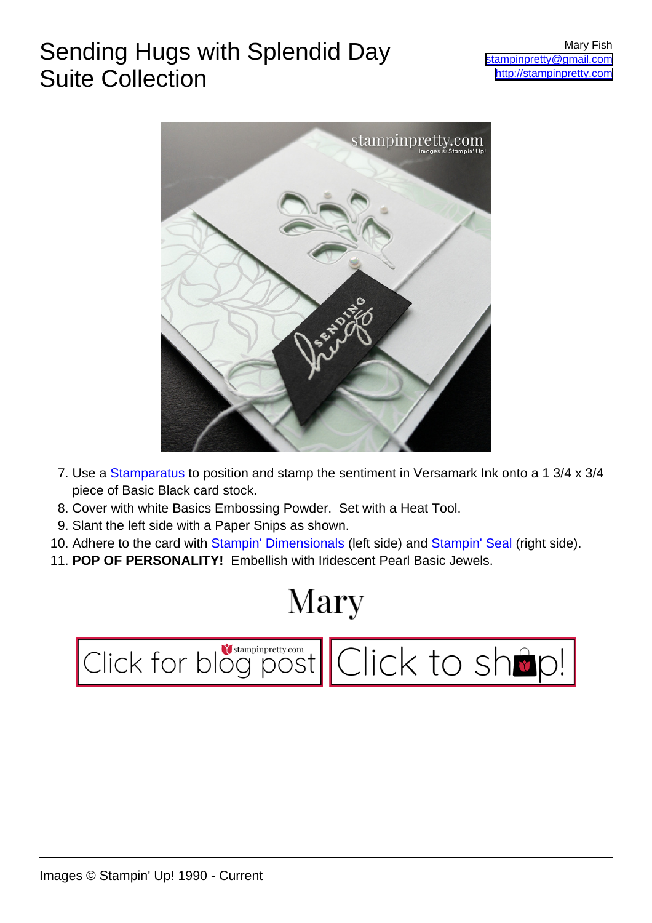## Sending Hugs with Splendid Day Suite Collection



- 7. Use a [Stamparatus](https://stampinpretty.com/new-way-stamp-stamparatus) to position and stamp the sentiment in Versamark Ink onto a 1 3/4 x 3/4 piece of Basic Black card stock.
- 8. Cover with white Basics Embossing Powder. Set with a Heat Tool.
- 9. Slant the left side with a Paper Snips as shown.
- 10. Adhere to the card with [Stampin' Dimensionals](https://stampinpretty.com/stuck-on-adhesives) (left side) and [Stampin' Seal](https://stampinpretty.com/stuck-on-adhesives) (right side).
- 11. **POP OF PERSONALITY!** Embellish with Iridescent Pearl Basic Jewels.

## Mary